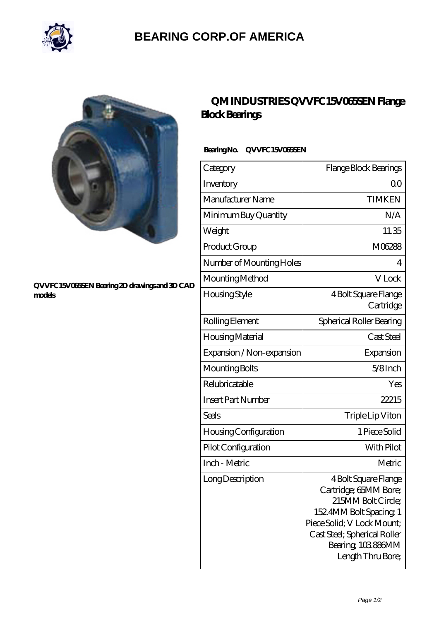

## **[BEARING CORP.OF AMERICA](https://m.bluemondayreview.com)**



#### **[QVVFC15V065SEN Bearing 2D drawings and 3D CAD](https://m.bluemondayreview.com/pic-175612.html) [models](https://m.bluemondayreview.com/pic-175612.html)**

## **[QM INDUSTRIES QVVFC15V065SEN Flange](https://m.bluemondayreview.com/am-175612-qm-industries-qvvfc15v065sen-flange-block-bearings.html) [Block Bearings](https://m.bluemondayreview.com/am-175612-qm-industries-qvvfc15v065sen-flange-block-bearings.html)**

### **Bearing No. QVVFC15V065SEN**

| Category                     | Flange Block Bearings                                                                                                                                                                                |
|------------------------------|------------------------------------------------------------------------------------------------------------------------------------------------------------------------------------------------------|
| Inventory                    | QΟ                                                                                                                                                                                                   |
| Manufacturer Name            | <b>TIMKEN</b>                                                                                                                                                                                        |
| Minimum Buy Quantity         | N/A                                                                                                                                                                                                  |
| Weight                       | 11.35                                                                                                                                                                                                |
| Product Group                | M06288                                                                                                                                                                                               |
| Number of Mounting Holes     | 4                                                                                                                                                                                                    |
| Mounting Method              | V Lock                                                                                                                                                                                               |
| Housing Style                | 4 Bolt Square Flange<br>Cartridge                                                                                                                                                                    |
| Rolling Element              | Spherical Roller Bearing                                                                                                                                                                             |
| Housing Material             | Cast Steel                                                                                                                                                                                           |
| Expansion / Non-expansion    | Expansion                                                                                                                                                                                            |
| Mounting Bolts               | 5/8Inch                                                                                                                                                                                              |
| Relubricatable               | Yes                                                                                                                                                                                                  |
| <b>Insert Part Number</b>    | 22215                                                                                                                                                                                                |
| Seals                        | Triple Lip Viton                                                                                                                                                                                     |
| <b>Housing Configuration</b> | 1 Piece Solid                                                                                                                                                                                        |
| Pilot Configuration          | With Pilot                                                                                                                                                                                           |
| Inch - Metric                | Metric                                                                                                                                                                                               |
| Long Description             | 4 Bolt Square Flange<br>Cartridge; 65MM Bore;<br>215MM Bolt Circle;<br>1524MM Bolt Spacing 1<br>Piece Solid; V Lock Mount;<br>Cast Steel; Spherical Roller<br>Bearing, 103886MM<br>Length Thru Bore; |